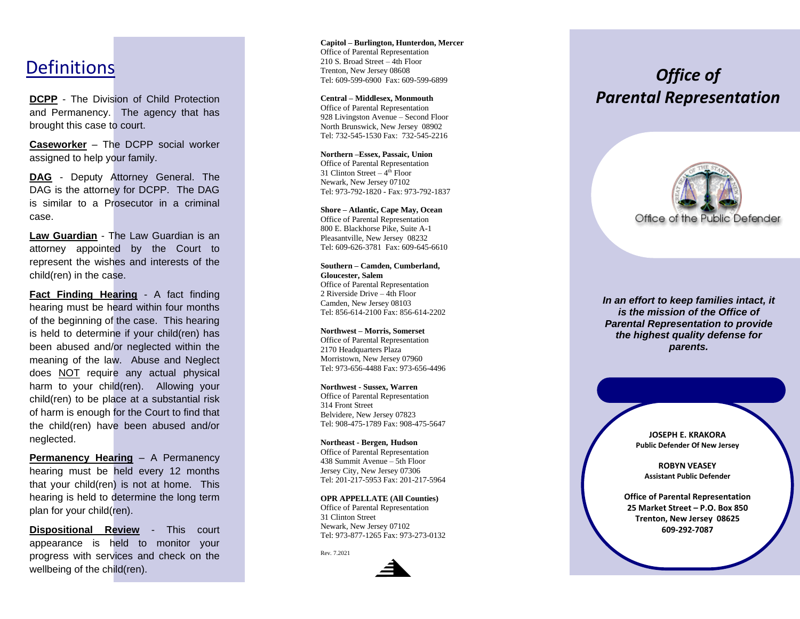**DCPP** - The Division of Child Protection and Permanency. The agency that has brought this case to court.

**Caseworker** – The DCPP social worker assigned to help your family.

**DAG** - Deputy Attorney General. The DAG is the attorney for DCPP. The DAG is similar to a Prosecutor in a criminal case.

**Law Guardian** - The Law Guardian is an attorney appointed by the Court to represent the wishes and interests of the child(ren) in the case.

**Fact Finding Hearing** - A fact finding hearing must be heard within four months of the beginning of the case. This hearing is held to determine if your child(ren) has been abused and/or neglected within the meaning of the law. Abuse and Neglect does NOT require any actual physical harm to your child(ren). Allowing your child(ren) to be place at a substantial risk of harm is enough for the Court to find that the child(ren) have been abused and/or neglected.

**Permanency Hearing** – A Permanency hearing must be held every 12 months that your child(ren) is not at home. This hearing is held to determine the long term plan for your child(ren).

**Dispositional Review** - This court appearance is held to monitor your progress with services and check on the wellbeing of the child(ren).

 $\frac{2^{10 \text{ S. Broad Street - 4th Floor}}}{\text{Trenton, New Jersey 08608}}$ <br>
Tenton, New Jersey 08608 **Capit ol – Burlington, Hunterdon, Mercer** Office of Parental Representation 210 S. Broad Street – 4th Floor Trenton, New Jersey 08608 Tel: 609 -599 -6900 Fax: 609 -599 -6899

> **Central – Middlesex, Monmouth** Office of Parental Representation 928 Livingston Avenue – Second Floor North Brunswick, New Jersey 08902 Tel: 732 -545 -1530 Fax: 732 -545 -2216

> **Northern –Essex, Passaic, Union** Office of Parental Representation 31 Clinton Street - 4<sup>th</sup> Floor Newark, Ne w Jersey 07102 Tel: 973 -792 -1820 - Fax: 973 -792 -1837

**Shore – Atlantic, Cape May, Ocean** Office of Parental Representation 800 E. Blackhorse Pike, Suite A - 1 Pleasantville, New Jersey 08 2 3 2 Tel: 609 -626 -3781 Fax: 609 -645 -6610

**Southern – Camden, Cumberlan d, Gloucester, Salem** Office of Parental Representation 2 Riverside Drive – 4th Floor Camden, New Jersey 08103 Tel: 856 -614 -2100 Fax: 856 -614 -2202

**Northwest – Morris, Somerset** Office of Parental Representation 2170 Headquarters Plaza Morristown, New Jerse y 07960 Tel: 973 -656 -4488 Fax: 973 -656 -4496

**Northwest - Sussex, Warren** Office of Parental Representation 314 Front Street Belvidere, New Jersey 07823 Tel: 908 -475 -1789 Fax: 908 -475 -5647

#### **Northeast - Bergen, Hudson**

Office of Parental Representation 438 Su mmit Avenue – 5th Floor Jersey City, New Jersey 07306 Tel: 201 -217 -5953 Fax: 201 -217 -5964

#### **OPR APPELLATE (All Counties)**

Office of Parental Representation 31 Clinton Street Newark, New Jersey 07102 Tel: 973 -877 -1265 Fax: 973 -273 -0132

Rev. 7.2021



# *Parental Representation*



*In an effort to keep families intact, it is the mission of the Office of Parental Representation to provide the highest quality defense for parents.*

> **JOSEPH E. KRAKORA Public Defender Of New Jersey**

**ROBYN VEASEY Assistant Public Defender**

**Office of Parental Representation 25 Market Street – P.O. Box 850 Trenton, New Jersey 08625 609 -292 -7087**